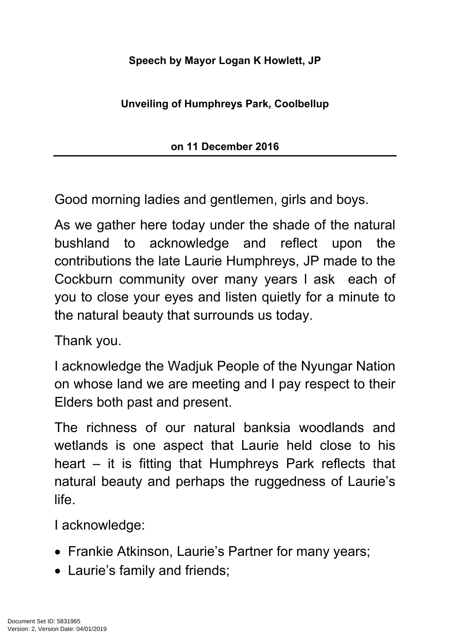## **Speech by Mayor Logan K Howlett, JP**

## **Unveiling of Humphreys Park, Coolbellup**

## **on 11 December 2016**

Good morning ladies and gentlemen, girls and boys.

As we gather here today under the shade of the natural bushland to acknowledge and reflect upon the contributions the late Laurie Humphreys, JP made to the Cockburn community over many years l ask each of you to close your eyes and listen quietly for a minute to the natural beauty that surrounds us today.

Thank you.

I acknowledge the Wadjuk People of the Nyungar Nation on whose land we are meeting and I pay respect to their Elders both past and present.

The richness of our natural banksia woodlands and wetlands is one aspect that Laurie held close to his heart – it is fitting that Humphreys Park reflects that natural beauty and perhaps the ruggedness of Laurie's life.

I acknowledge:

- Frankie Atkinson, Laurie's Partner for many years;
- Laurie's family and friends;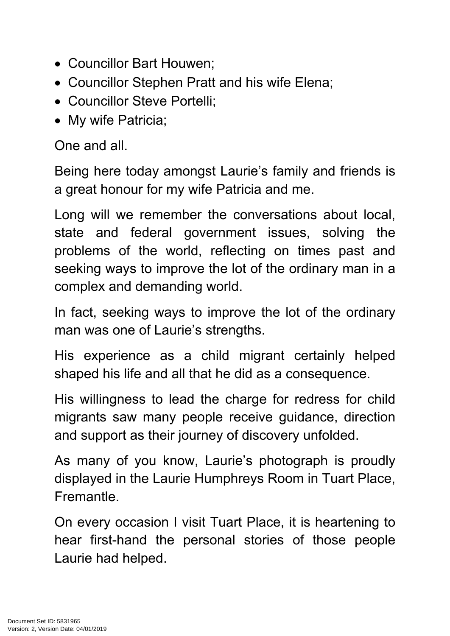- Councillor Bart Houwen:
- Councillor Stephen Pratt and his wife Elena;
- Councillor Steve Portelli;
- My wife Patricia;

One and all.

Being here today amongst Laurie's family and friends is a great honour for my wife Patricia and me.

Long will we remember the conversations about local, state and federal government issues, solving the problems of the world, reflecting on times past and seeking ways to improve the lot of the ordinary man in a complex and demanding world.

In fact, seeking ways to improve the lot of the ordinary man was one of Laurie's strengths.

His experience as a child migrant certainly helped shaped his life and all that he did as a consequence.

His willingness to lead the charge for redress for child migrants saw many people receive guidance, direction and support as their journey of discovery unfolded.

As many of you know, Laurie's photograph is proudly displayed in the Laurie Humphreys Room in Tuart Place, Fremantle.

On every occasion I visit Tuart Place, it is heartening to hear first-hand the personal stories of those people Laurie had helped.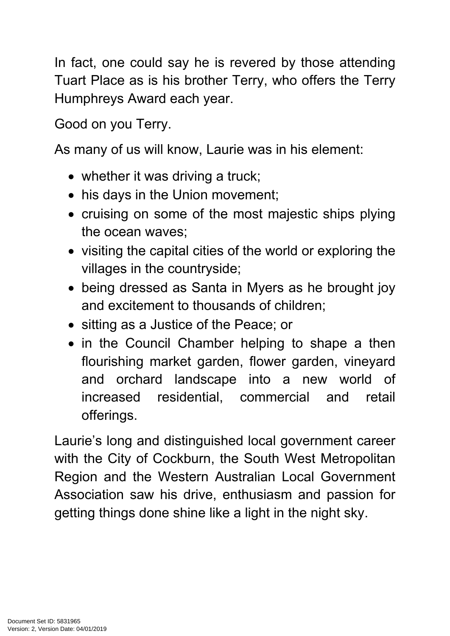In fact, one could say he is revered by those attending Tuart Place as is his brother Terry, who offers the Terry Humphreys Award each year.

Good on you Terry.

As many of us will know, Laurie was in his element:

- whether it was driving a truck;
- his days in the Union movement;
- cruising on some of the most majestic ships plying the ocean waves;
- visiting the capital cities of the world or exploring the villages in the countryside;
- being dressed as Santa in Myers as he brought joy and excitement to thousands of children;
- sitting as a Justice of the Peace; or
- in the Council Chamber helping to shape a then flourishing market garden, flower garden, vineyard and orchard landscape into a new world of increased residential, commercial and retail offerings.

Laurie's long and distinguished local government career with the City of Cockburn, the South West Metropolitan Region and the Western Australian Local Government Association saw his drive, enthusiasm and passion for getting things done shine like a light in the night sky.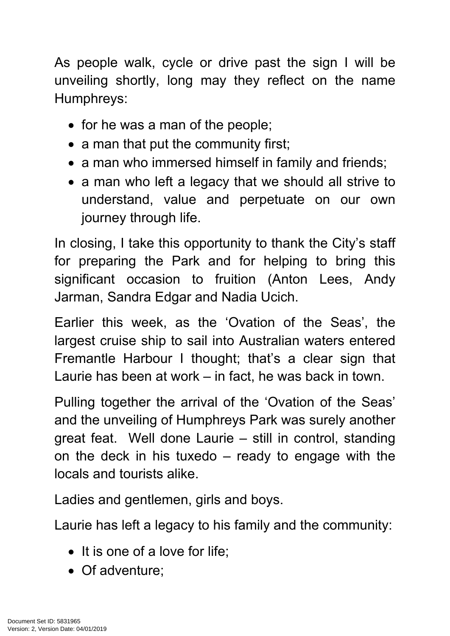As people walk, cycle or drive past the sign I will be unveiling shortly, long may they reflect on the name Humphreys:

- $\bullet$  for he was a man of the people;
- a man that put the community first;
- a man who immersed himself in family and friends;
- a man who left a legacy that we should all strive to understand, value and perpetuate on our own journey through life.

In closing, I take this opportunity to thank the City's staff for preparing the Park and for helping to bring this significant occasion to fruition (Anton Lees, Andy Jarman, Sandra Edgar and Nadia Ucich.

Earlier this week, as the 'Ovation of the Seas', the largest cruise ship to sail into Australian waters entered Fremantle Harbour I thought; that's a clear sign that Laurie has been at work – in fact, he was back in town.

Pulling together the arrival of the 'Ovation of the Seas' and the unveiling of Humphreys Park was surely another great feat. Well done Laurie – still in control, standing on the deck in his tuxedo – ready to engage with the locals and tourists alike.

Ladies and gentlemen, girls and boys.

Laurie has left a legacy to his family and the community:

- $\bullet$  It is one of a love for life:
- Of adventure: